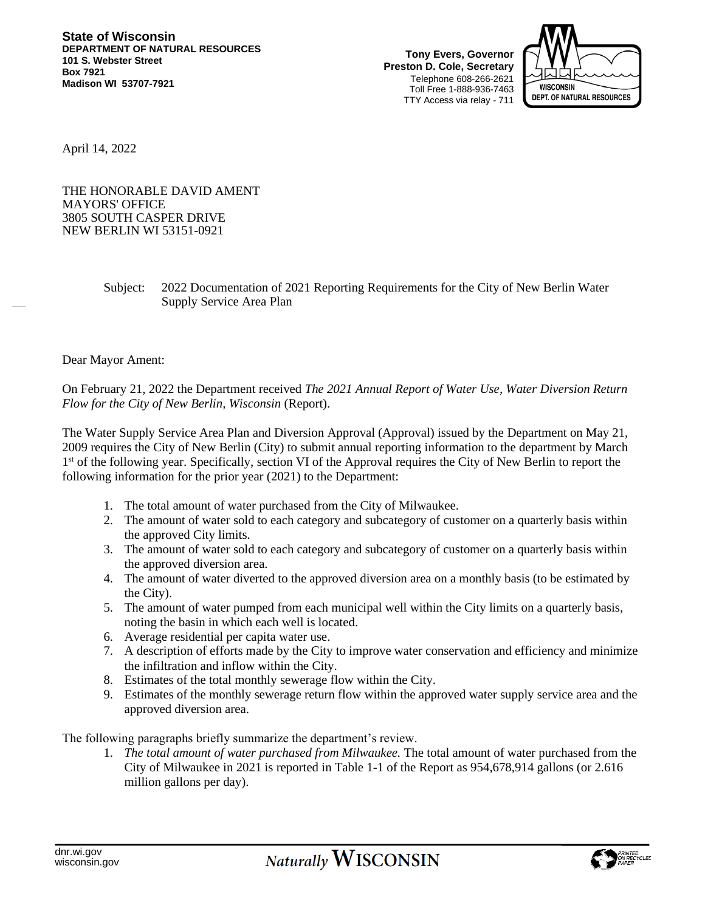**Tony Evers, Governor Preston D. Cole, Secretary** Telephone 608-266-2621 Toll Free 1-888-936-7463 TTY Access via relay - 711



April 14, 2022

THE HONORABLE DAVID AMENT MAYORS' OFFICE 3805 SOUTH CASPER DRIVE NEW BERLIN WI 53151-0921

> Subject: 2022 Documentation of 2021 Reporting Requirements for the City of New Berlin Water Supply Service Area Plan

## Dear Mayor Ament:

On February 21, 2022 the Department received *The 2021 Annual Report of Water Use, Water Diversion Return Flow for the City of New Berlin, Wisconsin* (Report).

The Water Supply Service Area Plan and Diversion Approval (Approval) issued by the Department on May 21, 2009 requires the City of New Berlin (City) to submit annual reporting information to the department by March 1<sup>st</sup> of the following year. Specifically, section VI of the Approval requires the City of New Berlin to report the following information for the prior year (2021) to the Department:

- 1. The total amount of water purchased from the City of Milwaukee.
- 2. The amount of water sold to each category and subcategory of customer on a quarterly basis within the approved City limits.
- 3. The amount of water sold to each category and subcategory of customer on a quarterly basis within the approved diversion area.
- 4. The amount of water diverted to the approved diversion area on a monthly basis (to be estimated by the City).
- 5. The amount of water pumped from each municipal well within the City limits on a quarterly basis, noting the basin in which each well is located.
- 6. Average residential per capita water use.
- 7. A description of efforts made by the City to improve water conservation and efficiency and minimize the infiltration and inflow within the City.
- 8. Estimates of the total monthly sewerage flow within the City.
- 9. Estimates of the monthly sewerage return flow within the approved water supply service area and the approved diversion area.

The following paragraphs briefly summarize the department's review.

1. *The total amount of water purchased from Milwaukee.* The total amount of water purchased from the City of Milwaukee in 2021 is reported in Table 1-1 of the Report as 954,678,914 gallons (or 2.616 million gallons per day).

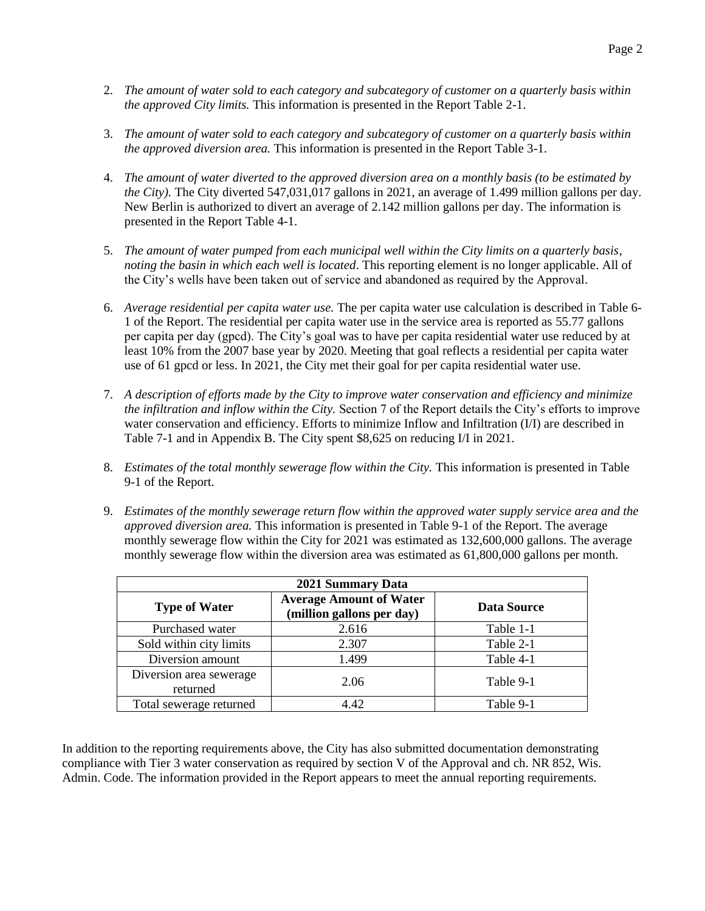- 2. *The amount of water sold to each category and subcategory of customer on a quarterly basis within the approved City limits.* This information is presented in the Report Table 2-1.
- 3. *The amount of water sold to each category and subcategory of customer on a quarterly basis within the approved diversion area.* This information is presented in the Report Table 3-1.
- 4. *The amount of water diverted to the approved diversion area on a monthly basis (to be estimated by the City).* The City diverted 547,031,017 gallons in 2021, an average of 1.499 million gallons per day. New Berlin is authorized to divert an average of 2.142 million gallons per day. The information is presented in the Report Table 4-1.
- 5. *The amount of water pumped from each municipal well within the City limits on a quarterly basis, noting the basin in which each well is located*. This reporting element is no longer applicable. All of the City's wells have been taken out of service and abandoned as required by the Approval.
- 6. *Average residential per capita water use.* The per capita water use calculation is described in Table 6- 1 of the Report. The residential per capita water use in the service area is reported as 55.77 gallons per capita per day (gpcd). The City's goal was to have per capita residential water use reduced by at least 10% from the 2007 base year by 2020. Meeting that goal reflects a residential per capita water use of 61 gpcd or less. In 2021, the City met their goal for per capita residential water use.
- 7. *A description of efforts made by the City to improve water conservation and efficiency and minimize the infiltration and inflow within the City.* Section 7 of the Report details the City's efforts to improve water conservation and efficiency. Efforts to minimize Inflow and Infiltration (I/I) are described in Table 7-1 and in Appendix B. The City spent \$8,625 on reducing I/I in 2021.
- 8. *Estimates of the total monthly sewerage flow within the City.* This information is presented in Table 9-1 of the Report.
- 9. *Estimates of the monthly sewerage return flow within the approved water supply service area and the approved diversion area.* This information is presented in Table 9-1 of the Report. The average monthly sewerage flow within the City for 2021 was estimated as 132,600,000 gallons. The average monthly sewerage flow within the diversion area was estimated as 61,800,000 gallons per month.

| 2021 Summary Data                   |                                                             |                    |
|-------------------------------------|-------------------------------------------------------------|--------------------|
| <b>Type of Water</b>                | <b>Average Amount of Water</b><br>(million gallons per day) | <b>Data Source</b> |
| Purchased water                     | 2.616                                                       | Table 1-1          |
| Sold within city limits             | 2.307                                                       | Table 2-1          |
| Diversion amount                    | 1.499                                                       | Table 4-1          |
| Diversion area sewerage<br>returned | 2.06                                                        | Table 9-1          |
| Total sewerage returned             | 4.42                                                        | Table 9-1          |

In addition to the reporting requirements above, the City has also submitted documentation demonstrating compliance with Tier 3 water conservation as required by section V of the Approval and ch. NR 852, Wis. Admin. Code. The information provided in the Report appears to meet the annual reporting requirements.